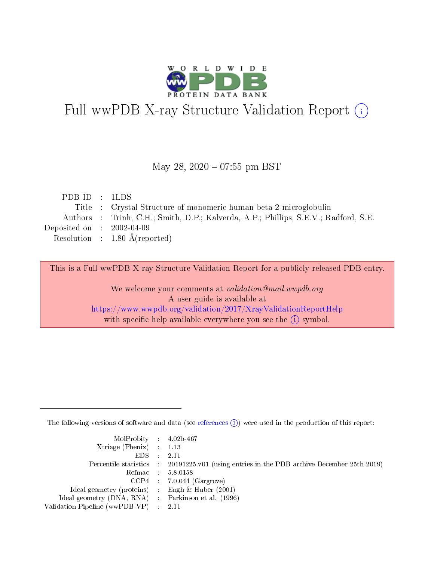

# Full wwPDB X-ray Structure Validation Report (i)

#### May 28, 2020 - 07:55 pm BST

| PDBID : 1LDS                |                                                                                     |
|-----------------------------|-------------------------------------------------------------------------------------|
|                             | Title : Crystal Structure of monomeric human beta-2-microglobulin                   |
|                             | Authors : Trinh, C.H.; Smith, D.P.; Kalverda, A.P.; Phillips, S.E.V.; Radford, S.E. |
| Deposited on : $2002-04-09$ |                                                                                     |
|                             | Resolution : $1.80 \text{ Å}$ (reported)                                            |

This is a Full wwPDB X-ray Structure Validation Report for a publicly released PDB entry.

We welcome your comments at validation@mail.wwpdb.org A user guide is available at <https://www.wwpdb.org/validation/2017/XrayValidationReportHelp> with specific help available everywhere you see the  $(i)$  symbol.

The following versions of software and data (see [references](https://www.wwpdb.org/validation/2017/XrayValidationReportHelp#references)  $(i)$ ) were used in the production of this report:

| MolProbity : 4.02b-467                              |                                                                                            |
|-----------------------------------------------------|--------------------------------------------------------------------------------------------|
| $Xtriangle (Phenix)$ : 1.13                         |                                                                                            |
| $EDS = 2.11$                                        |                                                                                            |
|                                                     | Percentile statistics : 20191225.v01 (using entries in the PDB archive December 25th 2019) |
|                                                     | Refmac : 5.8.0158                                                                          |
|                                                     | $CCP4$ : 7.0.044 (Gargrove)                                                                |
| Ideal geometry (proteins) : Engh $\&$ Huber (2001)  |                                                                                            |
| Ideal geometry (DNA, RNA) : Parkinson et al. (1996) |                                                                                            |
| Validation Pipeline (wwPDB-VP) : 2.11               |                                                                                            |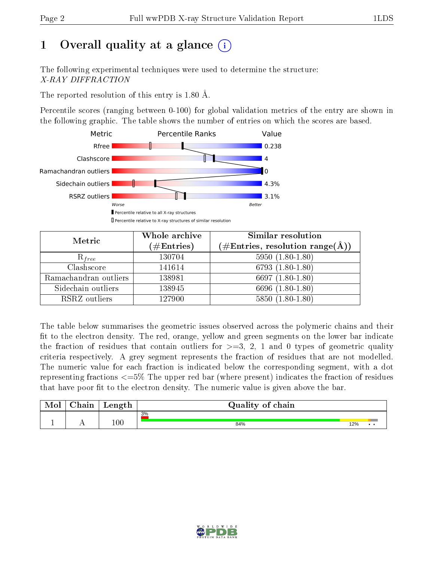# 1 [O](https://www.wwpdb.org/validation/2017/XrayValidationReportHelp#overall_quality)verall quality at a glance  $(i)$

The following experimental techniques were used to determine the structure: X-RAY DIFFRACTION

The reported resolution of this entry is 1.80 Å.

Percentile scores (ranging between 0-100) for global validation metrics of the entry are shown in the following graphic. The table shows the number of entries on which the scores are based.



| Metric                | Whole archive<br>$(\#\mathrm{Entries})$ | Similar resolution<br>$(\#\text{Entries}, \text{resolution range}(\text{\AA}))$ |
|-----------------------|-----------------------------------------|---------------------------------------------------------------------------------|
| $R_{free}$            | 130704                                  | $5950(1.80-1.80)$                                                               |
| Clashscore            | 141614                                  | $6793(1.80-1.80)$                                                               |
| Ramachandran outliers | 138981                                  | 6697 $(1.80-1.80)$                                                              |
| Sidechain outliers    | 138945                                  | 6696 (1.80-1.80)                                                                |
| RSRZ outliers         | 127900                                  | $5850(1.80-1.80)$                                                               |

The table below summarises the geometric issues observed across the polymeric chains and their fit to the electron density. The red, orange, yellow and green segments on the lower bar indicate the fraction of residues that contain outliers for  $>=3, 2, 1$  and 0 types of geometric quality criteria respectively. A grey segment represents the fraction of residues that are not modelled. The numeric value for each fraction is indicated below the corresponding segment, with a dot representing fractions  $\epsilon=5\%$  The upper red bar (where present) indicates the fraction of residues that have poor fit to the electron density. The numeric value is given above the bar.

| Mol | $\cap$ hain | Length  | Quality of chain |     |     |
|-----|-------------|---------|------------------|-----|-----|
|     |             |         | 3%               |     |     |
|     |             | $100\,$ | 84%              | 12% | . . |

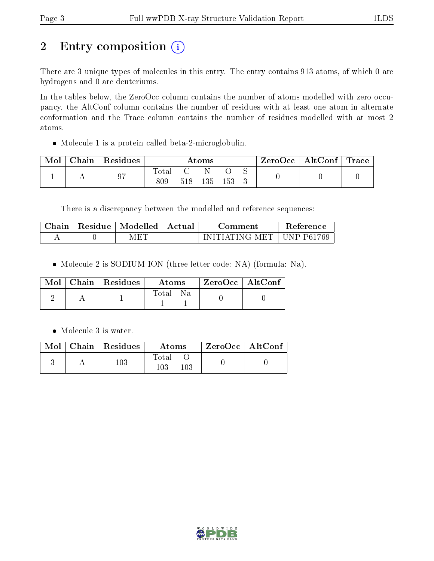# 2 Entry composition (i)

There are 3 unique types of molecules in this entry. The entry contains 913 atoms, of which 0 are hydrogens and 0 are deuteriums.

In the tables below, the ZeroOcc column contains the number of atoms modelled with zero occupancy, the AltConf column contains the number of residues with at least one atom in alternate conformation and the Trace column contains the number of residues modelled with at most 2 atoms.

Molecule 1 is a protein called beta-2-microglobulin.

| Mol | ${\rm Chain}$ | ' Residues | $\rm{Atoms}$ |     |     | ZeroOcc   AltConf   Trace |  |  |  |
|-----|---------------|------------|--------------|-----|-----|---------------------------|--|--|--|
|     |               | 97         | 'otal<br>809 | 518 | 135 | 153                       |  |  |  |

There is a discrepancy between the modelled and reference sequences:

| Chain | Residue | Modelled | – Actual | Comment                   | <b>Reference</b> |
|-------|---------|----------|----------|---------------------------|------------------|
|       |         | √F‴      | $\sim$   | $\lnot$ nitiating met i . | UNP P61769       |

Molecule 2 is SODIUM ION (three-letter code: NA) (formula: Na).

|  | Mol   Chain   Residues | Atoms    | $\mid$ ZeroOcc $\mid$ AltConf $\mid$ |  |
|--|------------------------|----------|--------------------------------------|--|
|  |                        | Total Na |                                      |  |

• Molecule 3 is water.

|  | $\blacksquare$ Mol $\vert$ Chain $\vert$ Residues $\vert$ | Atoms                   | $\mid$ ZeroOcc $\mid$ AltConf $\mid$ |  |
|--|-----------------------------------------------------------|-------------------------|--------------------------------------|--|
|  | $103\,$                                                   | Total<br>103<br>$103\,$ |                                      |  |

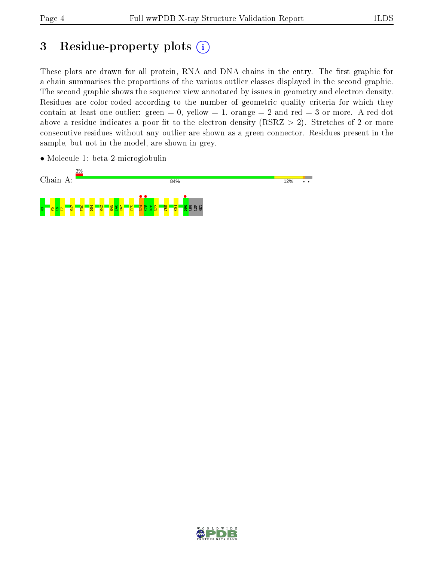# 3 Residue-property plots  $(i)$

These plots are drawn for all protein, RNA and DNA chains in the entry. The first graphic for a chain summarises the proportions of the various outlier classes displayed in the second graphic. The second graphic shows the sequence view annotated by issues in geometry and electron density. Residues are color-coded according to the number of geometric quality criteria for which they contain at least one outlier: green  $= 0$ , yellow  $= 1$ , orange  $= 2$  and red  $= 3$  or more. A red dot above a residue indicates a poor fit to the electron density (RSRZ  $> 2$ ). Stretches of 2 or more consecutive residues without any outlier are shown as a green connector. Residues present in the sample, but not in the model, are shown in grey.

• Molecule 1: beta-2-microglobulin



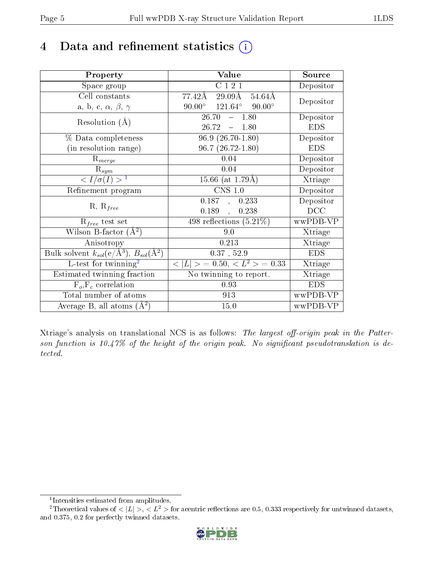# 4 Data and refinement statistics  $(i)$

| Property                                                                | Value                                             | Source     |
|-------------------------------------------------------------------------|---------------------------------------------------|------------|
| Space group                                                             | C 1 2 1                                           | Depositor  |
| Cell constants                                                          | 77.42Å<br>$29.09\text{\AA}$<br>$54.64\text{\AA}$  | Depositor  |
| a, b, c, $\alpha$ , $\beta$ , $\gamma$                                  | $90.00^{\circ}$ $121.64^{\circ}$<br>$90.00^\circ$ |            |
| Resolution $(A)$                                                        | $26.70^{-7}$<br>$-1.80$                           | Depositor  |
|                                                                         | 26.72<br>$-1.80$                                  | <b>EDS</b> |
| % Data completeness                                                     | $96.9(26.70-1.80)$                                | Depositor  |
| (in resolution range)                                                   | $96.7(26.72 - 1.80)$                              | <b>EDS</b> |
| $R_{merge}$                                                             | 0.04                                              | Depositor  |
| $\mathrm{R}_{sym}$                                                      | 0.04                                              | Depositor  |
| $\langle I/\sigma(I) \rangle^{-1}$                                      | 15.66 (at $1.79\text{\AA})$                       | Xtriage    |
| Refinement program                                                      | $CNS$ 1.0                                         | Depositor  |
|                                                                         | 0.187,<br>0.233                                   | Depositor  |
| $R, R_{free}$                                                           | 0.189,<br>0.238                                   | DCC        |
| $\mathcal{R}_{free}$ test set                                           | 498 reflections $(5.21\%)$                        | wwPDB-VP   |
| Wilson B-factor $(A^2)$                                                 | 9.0                                               | Xtriage    |
| Anisotropy                                                              | 0.213                                             | Xtriage    |
| Bulk solvent $k_{sol}(\mathrm{e}/\mathrm{A}^3),\,B_{sol}(\mathrm{A}^2)$ | $0.37$ , $52.9$                                   | <b>EDS</b> |
| L-test for twinning <sup>2</sup>                                        | $< L >$ = 0.50, $< L^2 >$ = 0.33                  | Xtriage    |
| Estimated twinning fraction                                             | No twinning to report.                            | Xtriage    |
| $F_o, F_c$ correlation                                                  | 0.93                                              | <b>EDS</b> |
| Total number of atoms                                                   | 913                                               | wwPDB-VP   |
| Average B, all atoms $(A^2)$                                            | 15.0                                              | wwPDB-VP   |

Xtriage's analysis on translational NCS is as follows: The largest off-origin peak in the Patterson function is  $10.47\%$  of the height of the origin peak. No significant pseudotranslation is detected.

<sup>&</sup>lt;sup>2</sup>Theoretical values of  $\langle |L| \rangle$ ,  $\langle L^2 \rangle$  for acentric reflections are 0.5, 0.333 respectively for untwinned datasets, and 0.375, 0.2 for perfectly twinned datasets.



<span id="page-4-1"></span><span id="page-4-0"></span><sup>1</sup> Intensities estimated from amplitudes.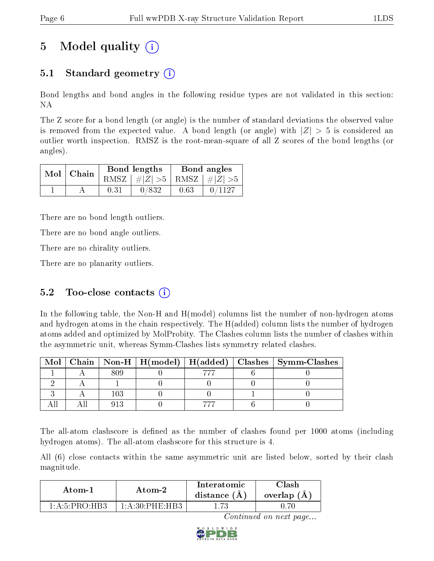# 5 Model quality  $(i)$

### 5.1 Standard geometry (i)

Bond lengths and bond angles in the following residue types are not validated in this section: NA

The Z score for a bond length (or angle) is the number of standard deviations the observed value is removed from the expected value. A bond length (or angle) with  $|Z| > 5$  is considered an outlier worth inspection. RMSZ is the root-mean-square of all Z scores of the bond lengths (or angles).

|  | Mol   Chain |      | Bond lengths                    | Bond angles |        |  |
|--|-------------|------|---------------------------------|-------------|--------|--|
|  |             |      | RMSZ $ #Z  > 5$ RMSZ $ #Z  > 5$ |             |        |  |
|  |             | 0.31 | 0/832                           | 0.63        | 0/1127 |  |

There are no bond length outliers.

There are no bond angle outliers.

There are no chirality outliers.

There are no planarity outliers.

### 5.2 Too-close contacts  $(i)$

In the following table, the Non-H and H(model) columns list the number of non-hydrogen atoms and hydrogen atoms in the chain respectively. The H(added) column lists the number of hydrogen atoms added and optimized by MolProbity. The Clashes column lists the number of clashes within the asymmetric unit, whereas Symm-Clashes lists symmetry related clashes.

| Mol |  |  | $\mid$ Chain $\mid$ Non-H $\mid$ H(model) $\mid$ H(added) $\mid$ Clashes $\mid$ Symm-Clashes |
|-----|--|--|----------------------------------------------------------------------------------------------|
|     |  |  |                                                                                              |
|     |  |  |                                                                                              |
|     |  |  |                                                                                              |
|     |  |  |                                                                                              |

The all-atom clashscore is defined as the number of clashes found per 1000 atoms (including hydrogen atoms). The all-atom clashscore for this structure is 4.

All (6) close contacts within the same asymmetric unit are listed below, sorted by their clash magnitude.

| Atom-2                                |                              | Interatomic    | Clash       |
|---------------------------------------|------------------------------|----------------|-------------|
| Atom-1                                |                              | distance $(A)$ | overlap (A) |
| $1 \cdot A \cdot 5 \cdot PR \cap HR3$ | $1 \cdot A \cdot 30$ PHE HR3 | -73            |             |

Continued on next page...

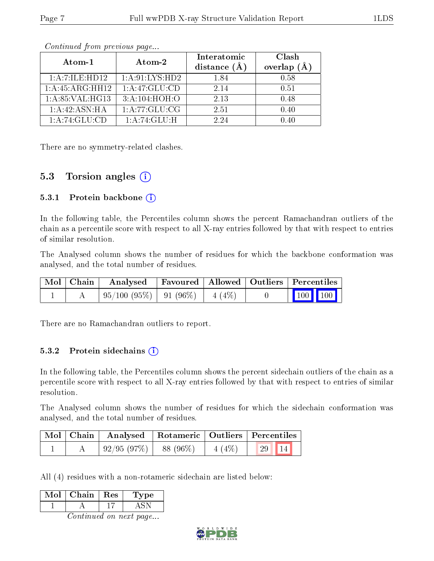| Atom-1             | Atom-2            | Interatomic<br>distance $(A)$ | Clash<br>overlap $(\AA)$ |  |
|--------------------|-------------------|-------------------------------|--------------------------|--|
| 1: A: 7: ILE: HDI2 | 1: A:91: LYS: HD2 | 1.84                          | 0.58                     |  |
| 1:A:45:ARG:HH12    | 1: A:47: GLU:CD   | 2.14                          | 0.51                     |  |
| 1: A:85: VAL:HG13  | 3:A:104:HOH:O     | 2.13                          | 0.48                     |  |
| 1: A:42: ASN: HA   | 1:A:77:GLU:CG     | 2.51                          | 0.40                     |  |
| 1:A:74:GLU:CD      | 1:A:74:GLU:H      | 2.24                          | N 40                     |  |

Continued from previous page...

There are no symmetry-related clashes.

#### 5.3 Torsion angles  $(i)$

#### 5.3.1 Protein backbone  $(i)$

In the following table, the Percentiles column shows the percent Ramachandran outliers of the chain as a percentile score with respect to all X-ray entries followed by that with respect to entries of similar resolution.

The Analysed column shows the number of residues for which the backbone conformation was analysed, and the total number of residues.

| Mol   Chain | Analysed   Favoured   Allowed   Outliers   Percentiles |  |                                                            |  |
|-------------|--------------------------------------------------------|--|------------------------------------------------------------|--|
|             | $+95/100(95\%)$   91 (96\%)   4 (4\%)                  |  | $\begin{array}{ c c c c }\n\hline\n100 & 100\n\end{array}$ |  |

There are no Ramachandran outliers to report.

#### 5.3.2 Protein sidechains (i)

In the following table, the Percentiles column shows the percent sidechain outliers of the chain as a percentile score with respect to all X-ray entries followed by that with respect to entries of similar resolution.

The Analysed column shows the number of residues for which the sidechain conformation was analysed, and the total number of residues.

| Mol   Chain | Analysed   |           |          | $\vert$ Rotameric $\vert$ Outliers $\vert$ Percentiles |  |
|-------------|------------|-----------|----------|--------------------------------------------------------|--|
|             | 92/95(97%) | 88 (96\%) | $4(4\%)$ | $\vert$ 29   14                                        |  |

All (4) residues with a non-rotameric sidechain are listed below:

| Mol | Chain | $\parallel$ Res | Lype |
|-----|-------|-----------------|------|
|     |       |                 |      |
|     |       |                 |      |

Continued on next page...

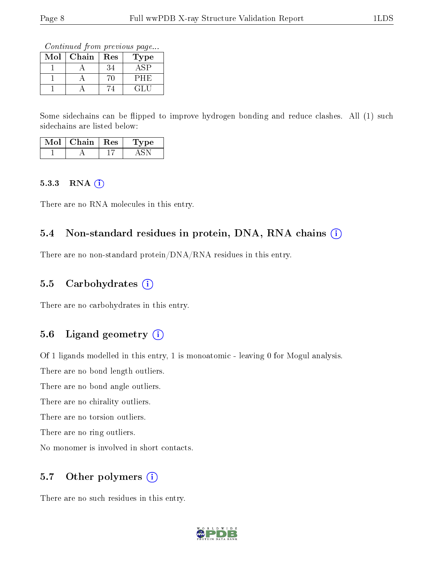Continued from previous page...

| $\operatorname{Mol}$ | Chain | $\operatorname{Res}% \left( \mathcal{N}\right) \equiv\operatorname{Res}(\mathcal{N}_{0})\left( \mathcal{N}_{0}\right) ^{2}$ | ype |
|----------------------|-------|-----------------------------------------------------------------------------------------------------------------------------|-----|
|                      |       |                                                                                                                             |     |
|                      |       |                                                                                                                             | ノHH |
|                      |       |                                                                                                                             |     |

Some sidechains can be flipped to improve hydrogen bonding and reduce clashes. All (1) such sidechains are listed below:

| Mol | Chain | $\operatorname{Res}$ | vpe |
|-----|-------|----------------------|-----|
|     |       |                      |     |

#### $5.3.3$  RNA  $(i)$

There are no RNA molecules in this entry.

#### 5.4 Non-standard residues in protein, DNA, RNA chains  $(i)$

There are no non-standard protein/DNA/RNA residues in this entry.

#### 5.5 Carbohydrates  $(i)$

There are no carbohydrates in this entry.

#### 5.6 Ligand geometry  $(i)$

Of 1 ligands modelled in this entry, 1 is monoatomic - leaving 0 for Mogul analysis.

There are no bond length outliers.

There are no bond angle outliers.

There are no chirality outliers.

There are no torsion outliers.

There are no ring outliers.

No monomer is involved in short contacts.

#### 5.7 [O](https://www.wwpdb.org/validation/2017/XrayValidationReportHelp#nonstandard_residues_and_ligands)ther polymers (i)

There are no such residues in this entry.

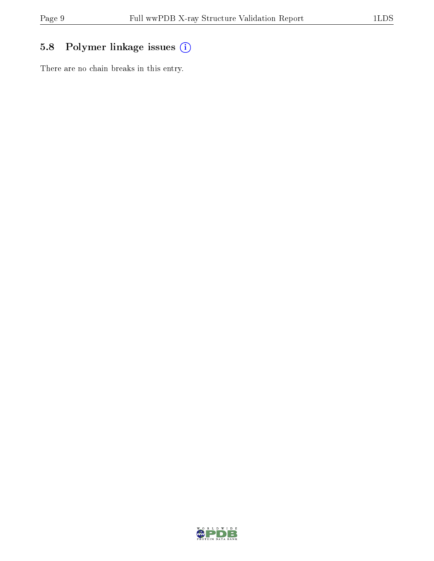## 5.8 Polymer linkage issues (i)

There are no chain breaks in this entry.

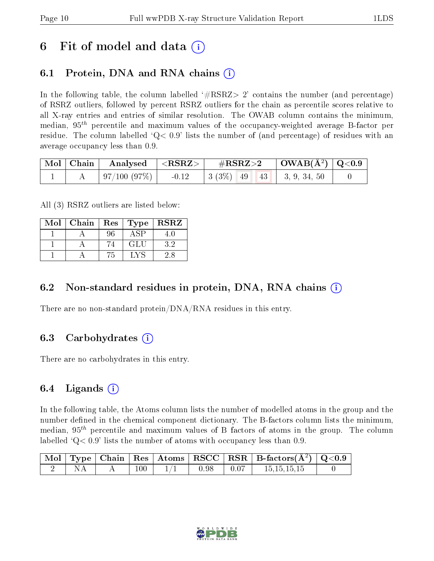## 6 Fit of model and data  $\left( \cdot \right)$

## 6.1 Protein, DNA and RNA chains (i)

In the following table, the column labelled  $#RSRZ>2'$  contains the number (and percentage) of RSRZ outliers, followed by percent RSRZ outliers for the chain as percentile scores relative to all X-ray entries and entries of similar resolution. The OWAB column contains the minimum, median,  $95<sup>th</sup>$  percentile and maximum values of the occupancy-weighted average B-factor per residue. The column labelled  $Q< 0.9$  lists the number of (and percentage) of residues with an average occupancy less than 0.9.

|  | $\lceil \text{Mol} \rceil$ Chain   Analysed   <rsrz>  </rsrz> | $\rm \#RSRZ\!>\!2$ |  | $\vert$ OWAB(Å <sup>2</sup> ) $\vert$ Q<0.9 |  |
|--|---------------------------------------------------------------|--------------------|--|---------------------------------------------|--|
|  |                                                               |                    |  |                                             |  |

All (3) RSRZ outliers are listed below:

| Mol | Chain   Res |    | <b>Type</b> | <b>RSRZ</b> |
|-----|-------------|----|-------------|-------------|
|     |             | 96 |             |             |
|     |             | 74 | GLU         | 32          |
|     |             | ำ  |             | 2.8         |

### 6.2 Non-standard residues in protein, DNA, RNA chains  $(i)$

There are no non-standard protein/DNA/RNA residues in this entry.

### 6.3 Carbohydrates (i)

There are no carbohydrates in this entry.

### 6.4 Ligands  $(i)$

In the following table, the Atoms column lists the number of modelled atoms in the group and the number defined in the chemical component dictionary. The B-factors column lists the minimum, median,  $95<sup>th</sup>$  percentile and maximum values of B factors of atoms in the group. The column labelled  $Q< 0.9$  lists the number of atoms with occupancy less than 0.9.

|           |     |                 | $\vert$ Mol $\vert$ Type $\vert$ Chain $\vert$ Res $\vert$ Atoms $\vert$ RSCC $\vert$ RSR $\vert$ B-factors(A <sup>2</sup> ) $\vert$ Q<0.9 |  |
|-----------|-----|-----------------|--------------------------------------------------------------------------------------------------------------------------------------------|--|
| <b>NA</b> | 100 | $0.98$   $0.07$ | 15.15.15.15                                                                                                                                |  |